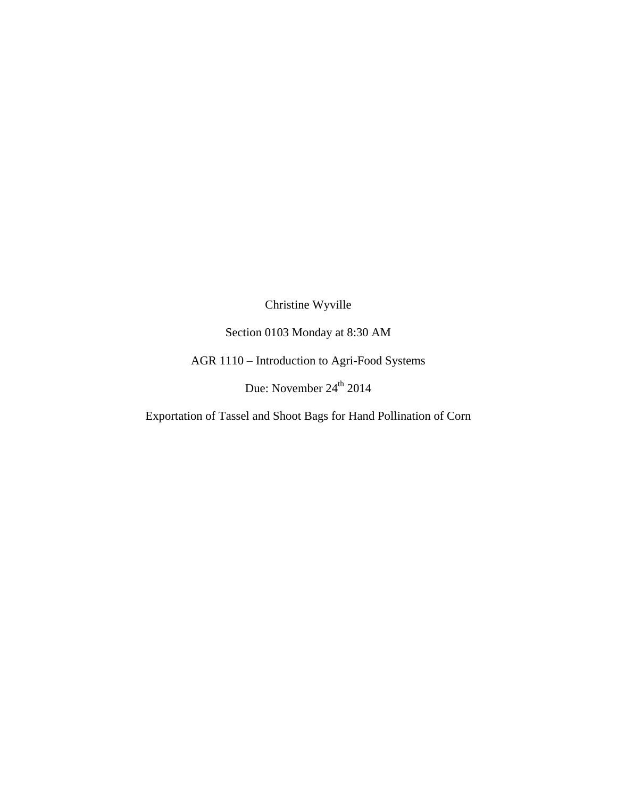Christine Wyville

Section 0103 Monday at 8:30 AM

AGR 1110 – Introduction to Agri-Food Systems

Due: November  $24^{\text{th}}$  2014

Exportation of Tassel and Shoot Bags for Hand Pollination of Corn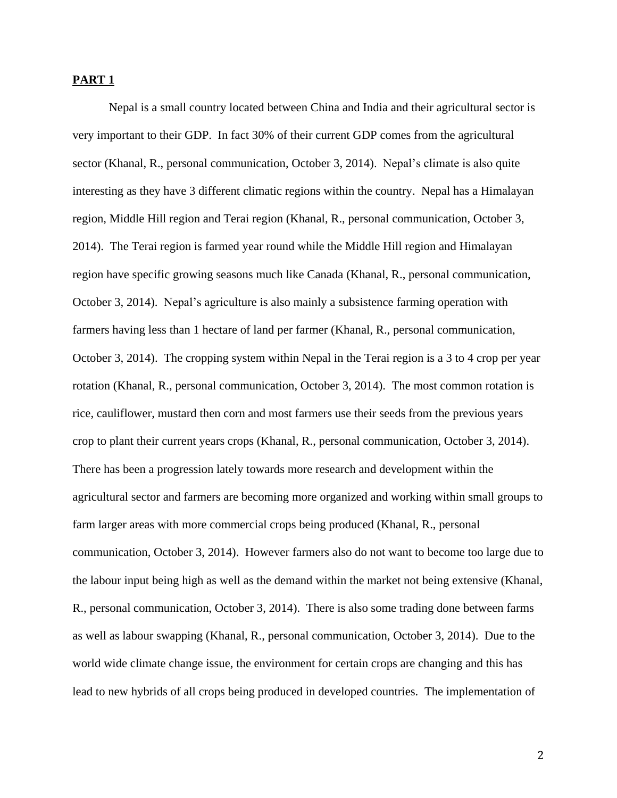## **PART 1**

Nepal is a small country located between China and India and their agricultural sector is very important to their GDP. In fact 30% of their current GDP comes from the agricultural sector (Khanal, R., personal communication, October 3, 2014). Nepal's climate is also quite interesting as they have 3 different climatic regions within the country. Nepal has a Himalayan region, Middle Hill region and Terai region (Khanal, R., personal communication, October 3, 2014). The Terai region is farmed year round while the Middle Hill region and Himalayan region have specific growing seasons much like Canada (Khanal, R., personal communication, October 3, 2014). Nepal's agriculture is also mainly a subsistence farming operation with farmers having less than 1 hectare of land per farmer (Khanal, R., personal communication, October 3, 2014). The cropping system within Nepal in the Terai region is a 3 to 4 crop per year rotation (Khanal, R., personal communication, October 3, 2014). The most common rotation is rice, cauliflower, mustard then corn and most farmers use their seeds from the previous years crop to plant their current years crops (Khanal, R., personal communication, October 3, 2014). There has been a progression lately towards more research and development within the agricultural sector and farmers are becoming more organized and working within small groups to farm larger areas with more commercial crops being produced (Khanal, R., personal communication, October 3, 2014). However farmers also do not want to become too large due to the labour input being high as well as the demand within the market not being extensive (Khanal, R., personal communication, October 3, 2014). There is also some trading done between farms as well as labour swapping (Khanal, R., personal communication, October 3, 2014). Due to the world wide climate change issue, the environment for certain crops are changing and this has lead to new hybrids of all crops being produced in developed countries. The implementation of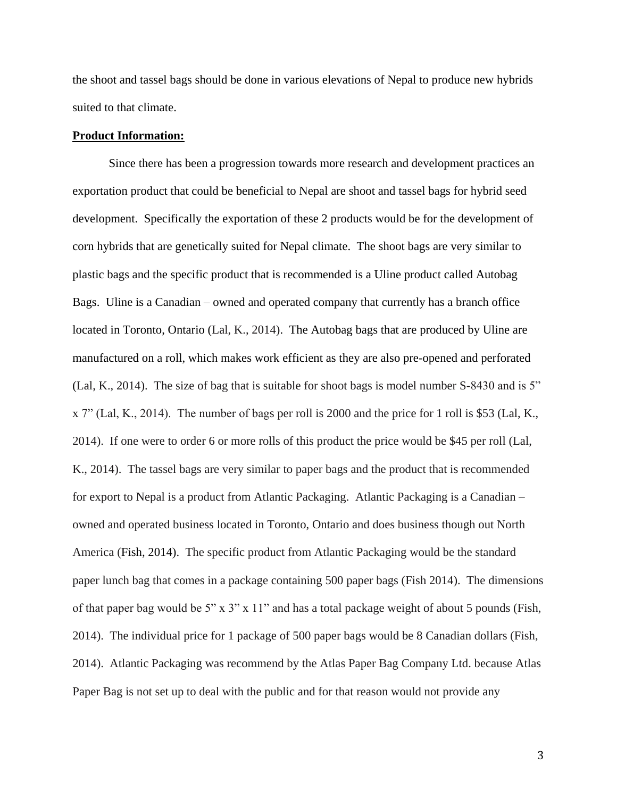the shoot and tassel bags should be done in various elevations of Nepal to produce new hybrids suited to that climate.

## **Product Information:**

Since there has been a progression towards more research and development practices an exportation product that could be beneficial to Nepal are shoot and tassel bags for hybrid seed development. Specifically the exportation of these 2 products would be for the development of corn hybrids that are genetically suited for Nepal climate. The shoot bags are very similar to plastic bags and the specific product that is recommended is a Uline product called Autobag Bags. Uline is a Canadian – owned and operated company that currently has a branch office located in Toronto, Ontario (Lal, K., 2014). The Autobag bags that are produced by Uline are manufactured on a roll, which makes work efficient as they are also pre-opened and perforated (Lal, K., 2014). The size of bag that is suitable for shoot bags is model number S-8430 and is 5" x 7" (Lal, K., 2014). The number of bags per roll is 2000 and the price for 1 roll is \$53 (Lal, K., 2014). If one were to order 6 or more rolls of this product the price would be \$45 per roll (Lal, K., 2014). The tassel bags are very similar to paper bags and the product that is recommended for export to Nepal is a product from Atlantic Packaging. Atlantic Packaging is a Canadian – owned and operated business located in Toronto, Ontario and does business though out North America (Fish, 2014). The specific product from Atlantic Packaging would be the standard paper lunch bag that comes in a package containing 500 paper bags (Fish 2014). The dimensions of that paper bag would be 5" x 3" x 11" and has a total package weight of about 5 pounds (Fish, 2014). The individual price for 1 package of 500 paper bags would be 8 Canadian dollars (Fish, 2014). Atlantic Packaging was recommend by the Atlas Paper Bag Company Ltd. because Atlas Paper Bag is not set up to deal with the public and for that reason would not provide any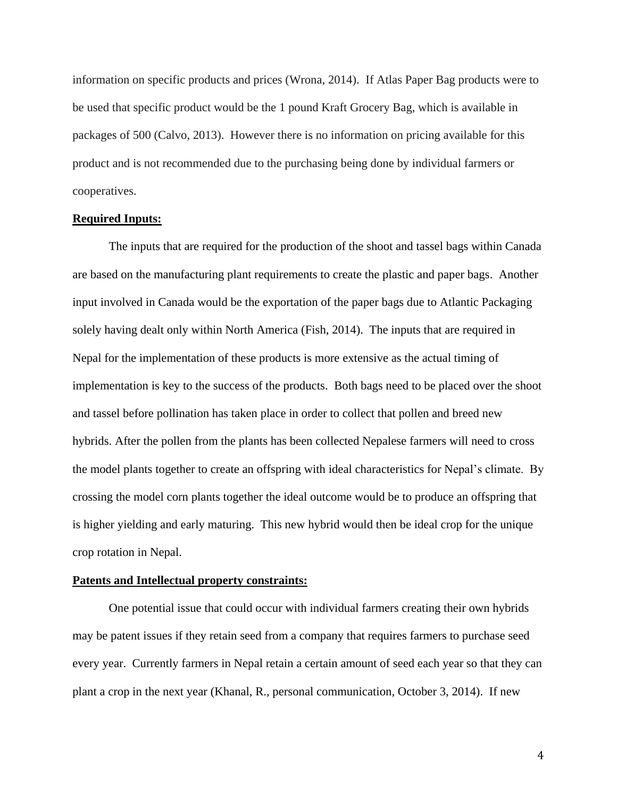information on specific products and prices (Wrona, 2014). If Atlas Paper Bag products were to be used that specific product would be the 1 pound Kraft Grocery Bag, which is available in packages of 500 (Calvo, 2013). However there is no information on pricing available for this product and is not recommended due to the purchasing being done by individual farmers or cooperatives.

## **Required Inputs:**

The inputs that are required for the production of the shoot and tassel bags within Canada are based on the manufacturing plant requirements to create the plastic and paper bags. Another input involved in Canada would be the exportation of the paper bags due to Atlantic Packaging solely having dealt only within North America (Fish, 2014). The inputs that are required in Nepal for the implementation of these products is more extensive as the actual timing of implementation is key to the success of the products. Both bags need to be placed over the shoot and tassel before pollination has taken place in order to collect that pollen and breed new hybrids. After the pollen from the plants has been collected Nepalese farmers will need to cross the model plants together to create an offspring with ideal characteristics for Nepal's climate. By crossing the model corn plants together the ideal outcome would be to produce an offspring that is higher yielding and early maturing. This new hybrid would then be ideal crop for the unique crop rotation in Nepal.

#### **Patents and Intellectual property constraints:**

One potential issue that could occur with individual farmers creating their own hybrids may be patent issues if they retain seed from a company that requires farmers to purchase seed every year. Currently farmers in Nepal retain a certain amount of seed each year so that they can plant a crop in the next year (Khanal, R., personal communication, October 3, 2014). If new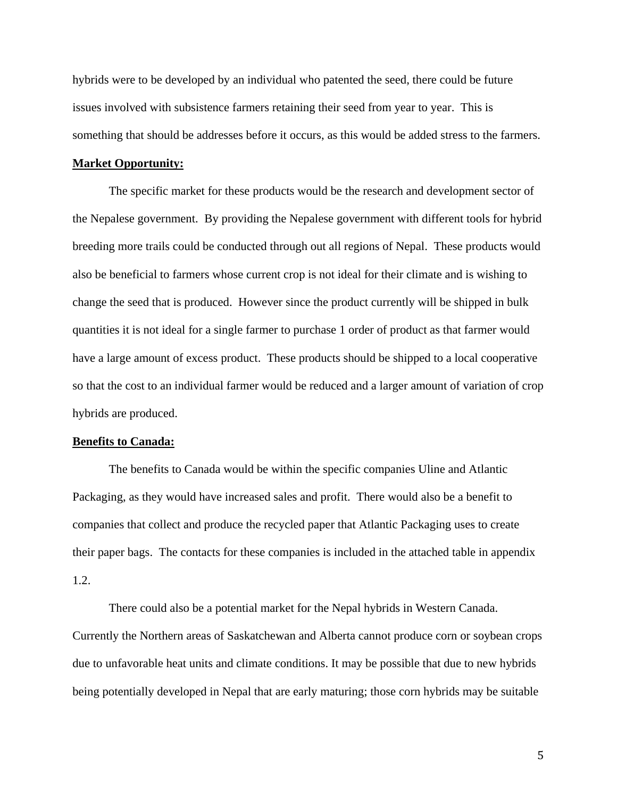hybrids were to be developed by an individual who patented the seed, there could be future issues involved with subsistence farmers retaining their seed from year to year. This is something that should be addresses before it occurs, as this would be added stress to the farmers.

## **Market Opportunity:**

The specific market for these products would be the research and development sector of the Nepalese government. By providing the Nepalese government with different tools for hybrid breeding more trails could be conducted through out all regions of Nepal. These products would also be beneficial to farmers whose current crop is not ideal for their climate and is wishing to change the seed that is produced. However since the product currently will be shipped in bulk quantities it is not ideal for a single farmer to purchase 1 order of product as that farmer would have a large amount of excess product. These products should be shipped to a local cooperative so that the cost to an individual farmer would be reduced and a larger amount of variation of crop hybrids are produced.

#### **Benefits to Canada:**

The benefits to Canada would be within the specific companies Uline and Atlantic Packaging, as they would have increased sales and profit. There would also be a benefit to companies that collect and produce the recycled paper that Atlantic Packaging uses to create their paper bags. The contacts for these companies is included in the attached table in appendix 1.2.

There could also be a potential market for the Nepal hybrids in Western Canada. Currently the Northern areas of Saskatchewan and Alberta cannot produce corn or soybean crops due to unfavorable heat units and climate conditions. It may be possible that due to new hybrids being potentially developed in Nepal that are early maturing; those corn hybrids may be suitable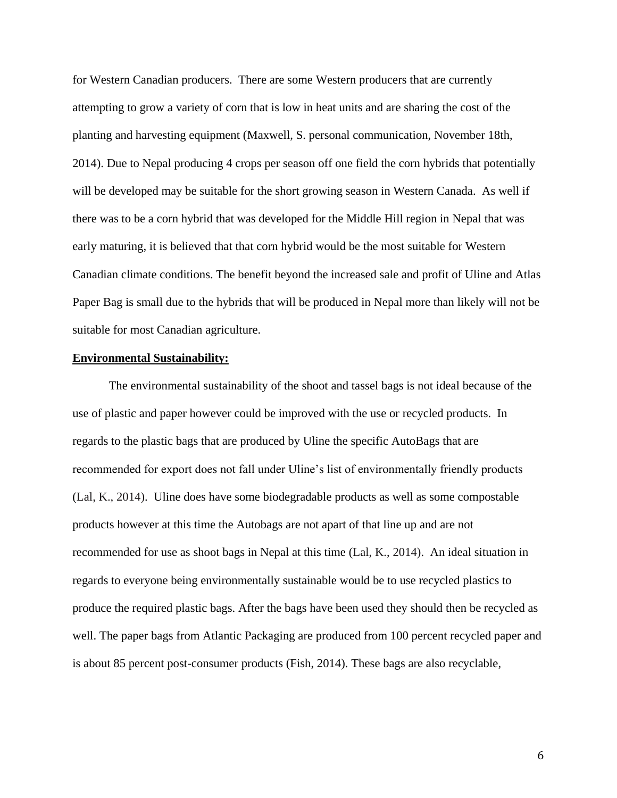for Western Canadian producers. There are some Western producers that are currently attempting to grow a variety of corn that is low in heat units and are sharing the cost of the planting and harvesting equipment (Maxwell, S. personal communication, November 18th, 2014). Due to Nepal producing 4 crops per season off one field the corn hybrids that potentially will be developed may be suitable for the short growing season in Western Canada. As well if there was to be a corn hybrid that was developed for the Middle Hill region in Nepal that was early maturing, it is believed that that corn hybrid would be the most suitable for Western Canadian climate conditions. The benefit beyond the increased sale and profit of Uline and Atlas Paper Bag is small due to the hybrids that will be produced in Nepal more than likely will not be suitable for most Canadian agriculture.

#### **Environmental Sustainability:**

The environmental sustainability of the shoot and tassel bags is not ideal because of the use of plastic and paper however could be improved with the use or recycled products. In regards to the plastic bags that are produced by Uline the specific AutoBags that are recommended for export does not fall under Uline's list of environmentally friendly products (Lal, K., 2014). Uline does have some biodegradable products as well as some compostable products however at this time the Autobags are not apart of that line up and are not recommended for use as shoot bags in Nepal at this time (Lal, K., 2014). An ideal situation in regards to everyone being environmentally sustainable would be to use recycled plastics to produce the required plastic bags. After the bags have been used they should then be recycled as well. The paper bags from Atlantic Packaging are produced from 100 percent recycled paper and is about 85 percent post-consumer products (Fish, 2014). These bags are also recyclable,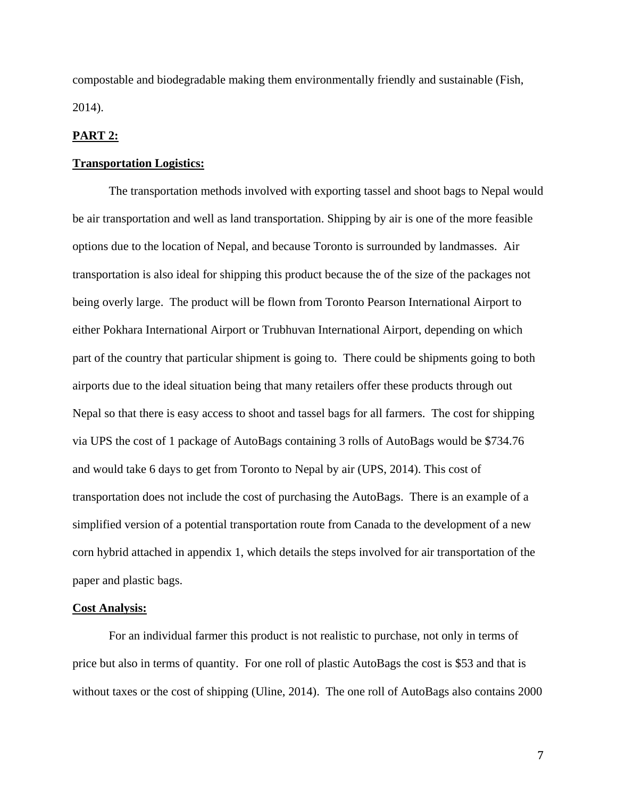compostable and biodegradable making them environmentally friendly and sustainable (Fish, 2014).

## **PART 2:**

#### **Transportation Logistics:**

The transportation methods involved with exporting tassel and shoot bags to Nepal would be air transportation and well as land transportation. Shipping by air is one of the more feasible options due to the location of Nepal, and because Toronto is surrounded by landmasses. Air transportation is also ideal for shipping this product because the of the size of the packages not being overly large. The product will be flown from Toronto Pearson International Airport to either Pokhara International Airport or Trubhuvan International Airport, depending on which part of the country that particular shipment is going to. There could be shipments going to both airports due to the ideal situation being that many retailers offer these products through out Nepal so that there is easy access to shoot and tassel bags for all farmers.The cost for shipping via UPS the cost of 1 package of AutoBags containing 3 rolls of AutoBags would be \$734.76 and would take 6 days to get from Toronto to Nepal by air (UPS, 2014). This cost of transportation does not include the cost of purchasing the AutoBags. There is an example of a simplified version of a potential transportation route from Canada to the development of a new corn hybrid attached in appendix 1, which details the steps involved for air transportation of the paper and plastic bags.

#### **Cost Analysis:**

For an individual farmer this product is not realistic to purchase, not only in terms of price but also in terms of quantity. For one roll of plastic AutoBags the cost is \$53 and that is without taxes or the cost of shipping (Uline, 2014). The one roll of AutoBags also contains 2000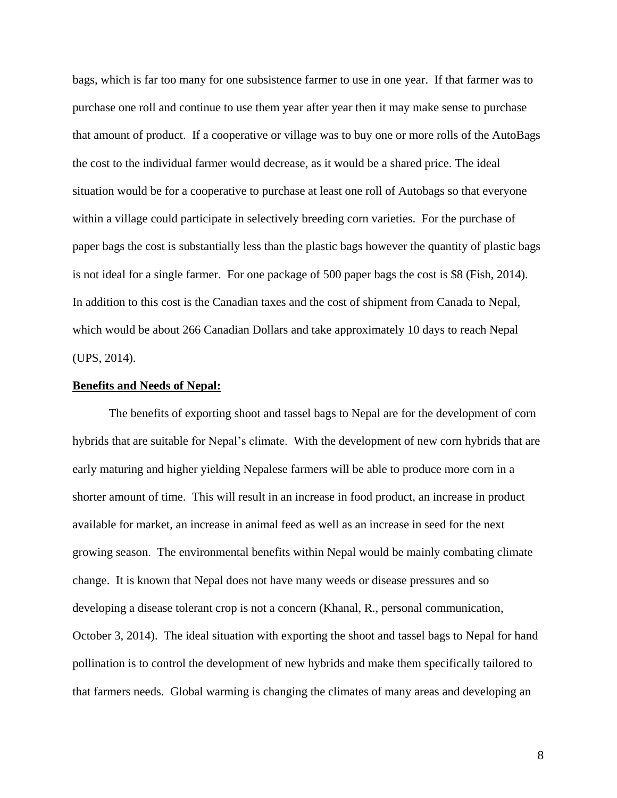bags, which is far too many for one subsistence farmer to use in one year. If that farmer was to purchase one roll and continue to use them year after year then it may make sense to purchase that amount of product. If a cooperative or village was to buy one or more rolls of the AutoBags the cost to the individual farmer would decrease, as it would be a shared price. The ideal situation would be for a cooperative to purchase at least one roll of Autobags so that everyone within a village could participate in selectively breeding corn varieties. For the purchase of paper bags the cost is substantially less than the plastic bags however the quantity of plastic bags is not ideal for a single farmer. For one package of 500 paper bags the cost is \$8 (Fish, 2014). In addition to this cost is the Canadian taxes and the cost of shipment from Canada to Nepal, which would be about 266 Canadian Dollars and take approximately 10 days to reach Nepal (UPS, 2014).

#### **Benefits and Needs of Nepal:**

The benefits of exporting shoot and tassel bags to Nepal are for the development of corn hybrids that are suitable for Nepal's climate. With the development of new corn hybrids that are early maturing and higher yielding Nepalese farmers will be able to produce more corn in a shorter amount of time. This will result in an increase in food product, an increase in product available for market, an increase in animal feed as well as an increase in seed for the next growing season. The environmental benefits within Nepal would be mainly combating climate change. It is known that Nepal does not have many weeds or disease pressures and so developing a disease tolerant crop is not a concern (Khanal, R., personal communication, October 3, 2014). The ideal situation with exporting the shoot and tassel bags to Nepal for hand pollination is to control the development of new hybrids and make them specifically tailored to that farmers needs. Global warming is changing the climates of many areas and developing an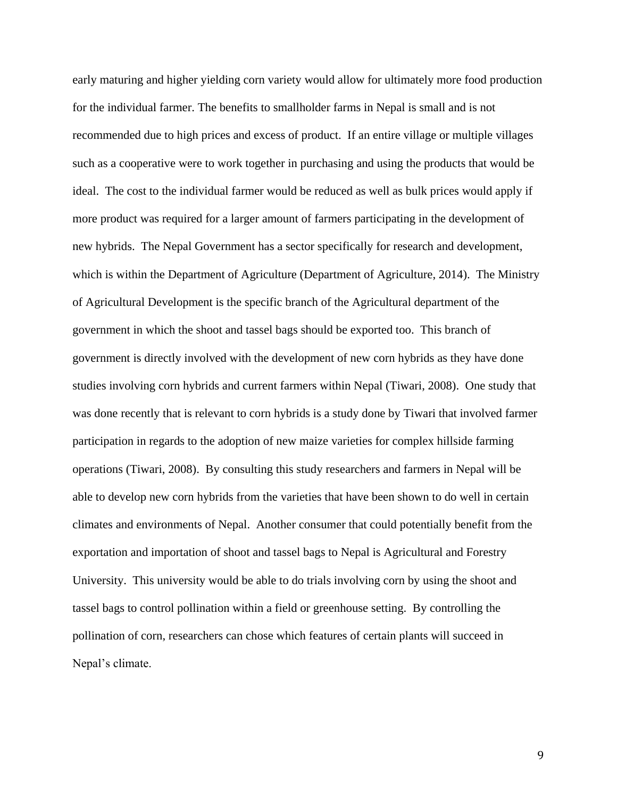early maturing and higher yielding corn variety would allow for ultimately more food production for the individual farmer. The benefits to smallholder farms in Nepal is small and is not recommended due to high prices and excess of product. If an entire village or multiple villages such as a cooperative were to work together in purchasing and using the products that would be ideal. The cost to the individual farmer would be reduced as well as bulk prices would apply if more product was required for a larger amount of farmers participating in the development of new hybrids. The Nepal Government has a sector specifically for research and development, which is within the Department of Agriculture (Department of Agriculture, 2014). The Ministry of Agricultural Development is the specific branch of the Agricultural department of the government in which the shoot and tassel bags should be exported too. This branch of government is directly involved with the development of new corn hybrids as they have done studies involving corn hybrids and current farmers within Nepal (Tiwari, 2008). One study that was done recently that is relevant to corn hybrids is a study done by Tiwari that involved farmer participation in regards to the adoption of new maize varieties for complex hillside farming operations (Tiwari, 2008). By consulting this study researchers and farmers in Nepal will be able to develop new corn hybrids from the varieties that have been shown to do well in certain climates and environments of Nepal. Another consumer that could potentially benefit from the exportation and importation of shoot and tassel bags to Nepal is Agricultural and Forestry University. This university would be able to do trials involving corn by using the shoot and tassel bags to control pollination within a field or greenhouse setting. By controlling the pollination of corn, researchers can chose which features of certain plants will succeed in Nepal's climate.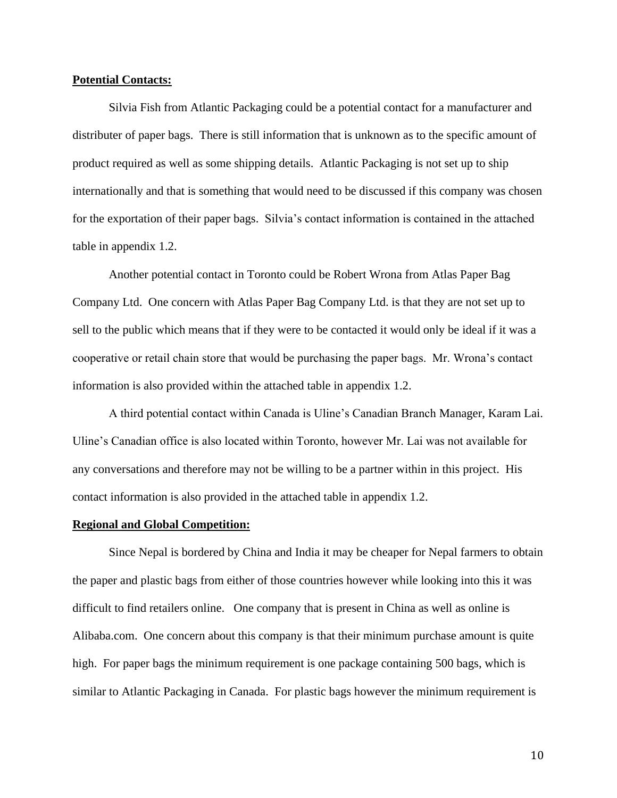#### **Potential Contacts:**

Silvia Fish from Atlantic Packaging could be a potential contact for a manufacturer and distributer of paper bags. There is still information that is unknown as to the specific amount of product required as well as some shipping details. Atlantic Packaging is not set up to ship internationally and that is something that would need to be discussed if this company was chosen for the exportation of their paper bags. Silvia's contact information is contained in the attached table in appendix 1.2.

Another potential contact in Toronto could be Robert Wrona from Atlas Paper Bag Company Ltd. One concern with Atlas Paper Bag Company Ltd. is that they are not set up to sell to the public which means that if they were to be contacted it would only be ideal if it was a cooperative or retail chain store that would be purchasing the paper bags. Mr. Wrona's contact information is also provided within the attached table in appendix 1.2.

A third potential contact within Canada is Uline's Canadian Branch Manager, Karam Lai. Uline's Canadian office is also located within Toronto, however Mr. Lai was not available for any conversations and therefore may not be willing to be a partner within in this project. His contact information is also provided in the attached table in appendix 1.2.

## **Regional and Global Competition:**

Since Nepal is bordered by China and India it may be cheaper for Nepal farmers to obtain the paper and plastic bags from either of those countries however while looking into this it was difficult to find retailers online. One company that is present in China as well as online is Alibaba.com. One concern about this company is that their minimum purchase amount is quite high. For paper bags the minimum requirement is one package containing 500 bags, which is similar to Atlantic Packaging in Canada. For plastic bags however the minimum requirement is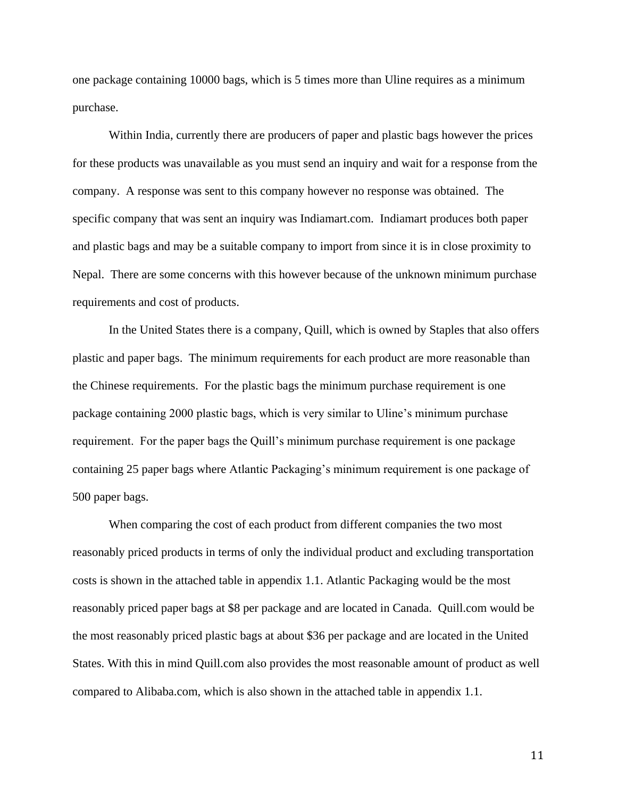one package containing 10000 bags, which is 5 times more than Uline requires as a minimum purchase.

Within India, currently there are producers of paper and plastic bags however the prices for these products was unavailable as you must send an inquiry and wait for a response from the company. A response was sent to this company however no response was obtained. The specific company that was sent an inquiry was Indiamart.com. Indiamart produces both paper and plastic bags and may be a suitable company to import from since it is in close proximity to Nepal. There are some concerns with this however because of the unknown minimum purchase requirements and cost of products.

In the United States there is a company, Quill, which is owned by Staples that also offers plastic and paper bags. The minimum requirements for each product are more reasonable than the Chinese requirements. For the plastic bags the minimum purchase requirement is one package containing 2000 plastic bags, which is very similar to Uline's minimum purchase requirement. For the paper bags the Quill's minimum purchase requirement is one package containing 25 paper bags where Atlantic Packaging's minimum requirement is one package of 500 paper bags.

When comparing the cost of each product from different companies the two most reasonably priced products in terms of only the individual product and excluding transportation costs is shown in the attached table in appendix 1.1. Atlantic Packaging would be the most reasonably priced paper bags at \$8 per package and are located in Canada. Quill.com would be the most reasonably priced plastic bags at about \$36 per package and are located in the United States. With this in mind Quill.com also provides the most reasonable amount of product as well compared to Alibaba.com, which is also shown in the attached table in appendix 1.1.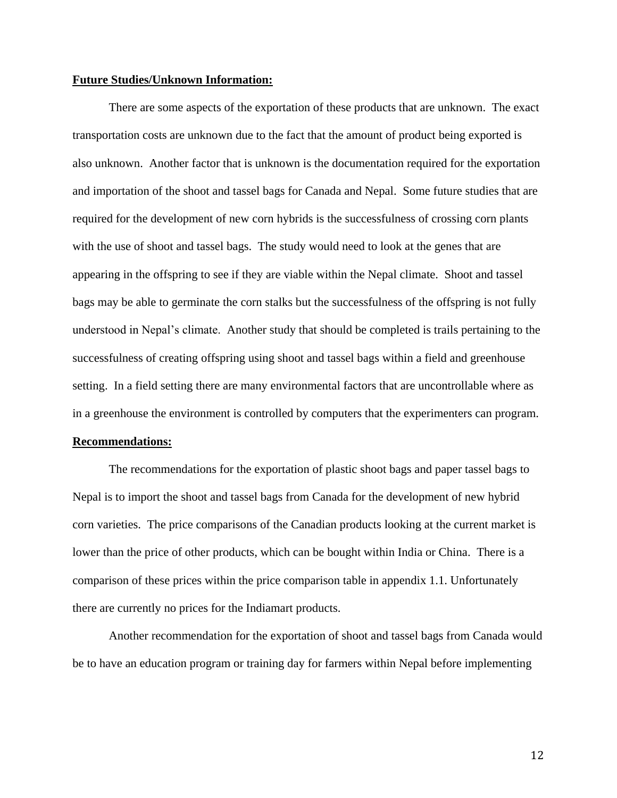## **Future Studies/Unknown Information:**

There are some aspects of the exportation of these products that are unknown. The exact transportation costs are unknown due to the fact that the amount of product being exported is also unknown. Another factor that is unknown is the documentation required for the exportation and importation of the shoot and tassel bags for Canada and Nepal. Some future studies that are required for the development of new corn hybrids is the successfulness of crossing corn plants with the use of shoot and tassel bags. The study would need to look at the genes that are appearing in the offspring to see if they are viable within the Nepal climate. Shoot and tassel bags may be able to germinate the corn stalks but the successfulness of the offspring is not fully understood in Nepal's climate. Another study that should be completed is trails pertaining to the successfulness of creating offspring using shoot and tassel bags within a field and greenhouse setting. In a field setting there are many environmental factors that are uncontrollable where as in a greenhouse the environment is controlled by computers that the experimenters can program.

#### **Recommendations:**

The recommendations for the exportation of plastic shoot bags and paper tassel bags to Nepal is to import the shoot and tassel bags from Canada for the development of new hybrid corn varieties. The price comparisons of the Canadian products looking at the current market is lower than the price of other products, which can be bought within India or China. There is a comparison of these prices within the price comparison table in appendix 1.1. Unfortunately there are currently no prices for the Indiamart products.

Another recommendation for the exportation of shoot and tassel bags from Canada would be to have an education program or training day for farmers within Nepal before implementing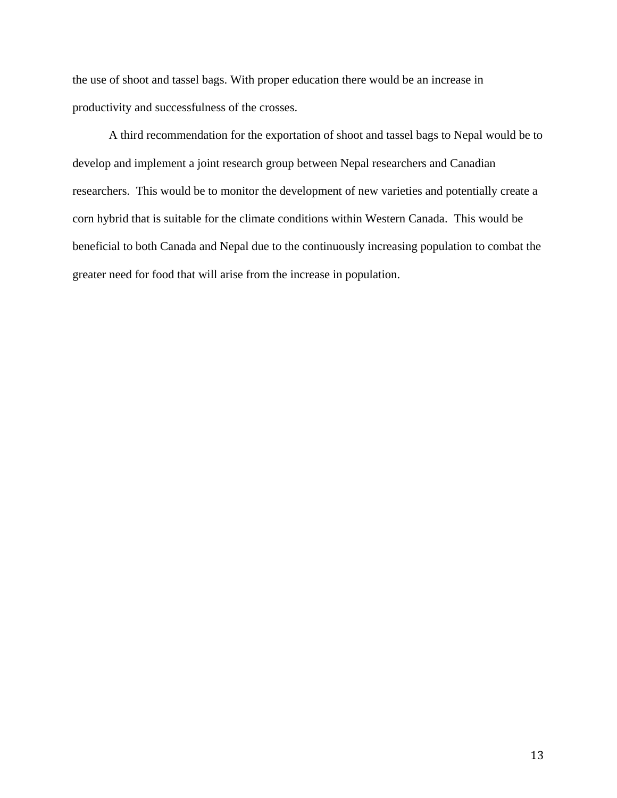the use of shoot and tassel bags. With proper education there would be an increase in productivity and successfulness of the crosses.

A third recommendation for the exportation of shoot and tassel bags to Nepal would be to develop and implement a joint research group between Nepal researchers and Canadian researchers. This would be to monitor the development of new varieties and potentially create a corn hybrid that is suitable for the climate conditions within Western Canada. This would be beneficial to both Canada and Nepal due to the continuously increasing population to combat the greater need for food that will arise from the increase in population.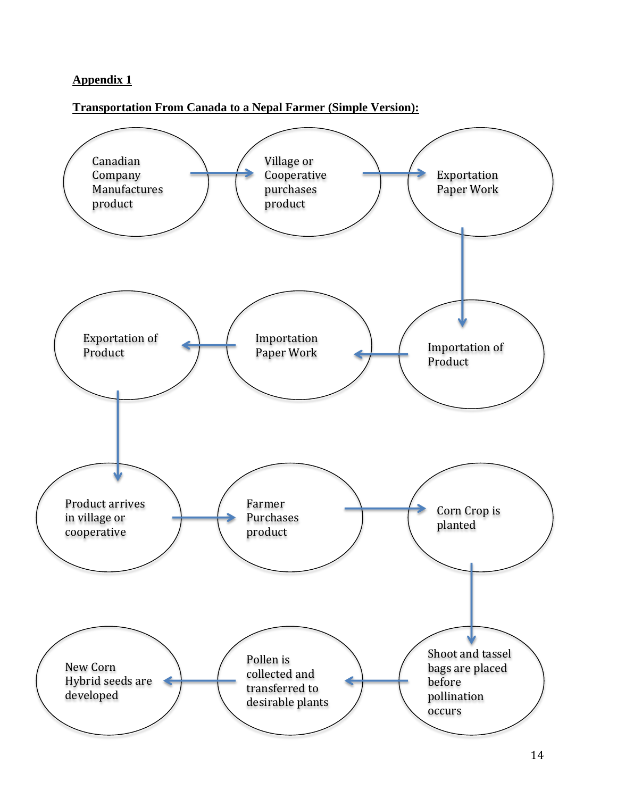# **Appendix 1**

## **Transportation From Canada to a Nepal Farmer (Simple Version):**

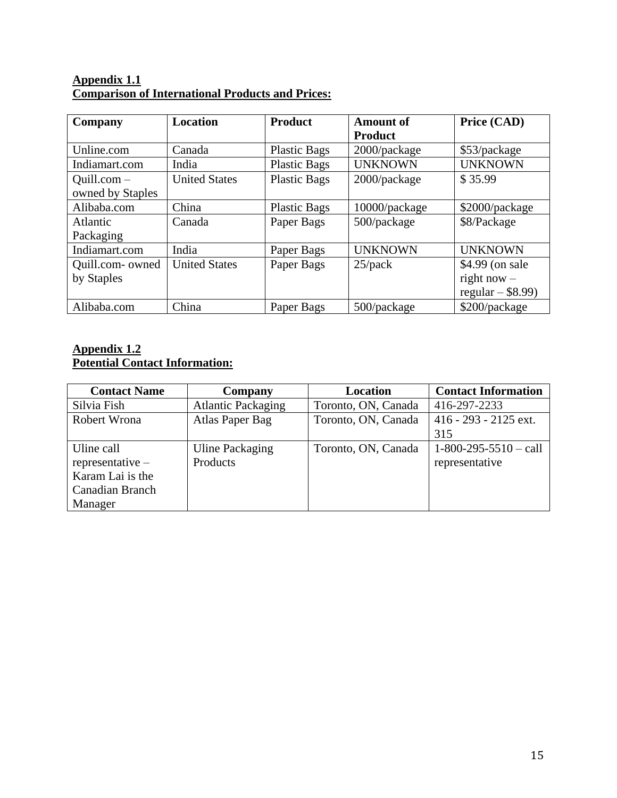# **Appendix 1.1 Comparison of International Products and Prices:**

| Company          | <b>Location</b>      | <b>Product</b>      | <b>Amount of</b> | Price (CAD)         |
|------------------|----------------------|---------------------|------------------|---------------------|
|                  |                      |                     | <b>Product</b>   |                     |
| Unline.com       | Canada               | <b>Plastic Bags</b> | 2000/package     | \$53/package        |
| Indiamart.com    | India                | <b>Plastic Bags</b> | <b>UNKNOWN</b>   | <b>UNKNOWN</b>      |
| $Quill.com-$     | <b>United States</b> | <b>Plastic Bags</b> | 2000/package     | \$35.99             |
| owned by Staples |                      |                     |                  |                     |
| Alibaba.com      | China                | <b>Plastic Bags</b> | 10000/package    | \$2000/package      |
| Atlantic         | Canada               | Paper Bags          | 500/package      | \$8/Package         |
| Packaging        |                      |                     |                  |                     |
| Indiamart.com    | India                | Paper Bags          | <b>UNKNOWN</b>   | <b>UNKNOWN</b>      |
| Quill.com- owned | <b>United States</b> | Paper Bags          | $25$ /pack       | \$4.99 (on sale     |
| by Staples       |                      |                     |                  | right now $-$       |
|                  |                      |                     |                  | regular $-$ \$8.99) |
| Alibaba.com      | China                | Paper Bags          | 500/package      | \$200/package       |

## **Appendix 1.2 Potential Contact Information:**

| <b>Contact Name</b> | Company                   | <b>Location</b>     | <b>Contact Information</b> |
|---------------------|---------------------------|---------------------|----------------------------|
| Silvia Fish         | <b>Atlantic Packaging</b> | Toronto, ON, Canada | 416-297-2233               |
| Robert Wrona        | Atlas Paper Bag           | Toronto, ON, Canada | 416 - 293 - 2125 ext.      |
|                     |                           |                     | 315                        |
| Uline call          | Uline Packaging           | Toronto, ON, Canada | $1-800-295-5510 -$ call    |
| $representative -$  | Products                  |                     | representative             |
| Karam Lai is the    |                           |                     |                            |
| Canadian Branch     |                           |                     |                            |
| Manager             |                           |                     |                            |